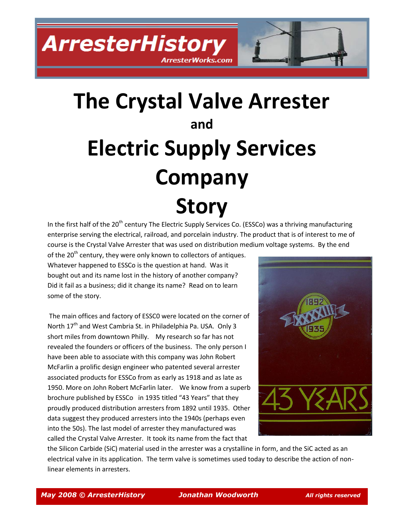# **The Crystal Valve Arrester and Electric Supply Services Company Story**

ArresterWorks.com

In the first half of the  $20<sup>th</sup>$  century The Electric Supply Services Co. (ESSCo) was a thriving manufacturing enterprise serving the electrical, railroad, and porcelain industry. The product that is of interest to me of course is the Crystal Valve Arrester that was used on distribution medium voltage systems. By the end

of the 20<sup>th</sup> century, they were only known to collectors of antiques. Whatever happened to ESSCo is the question at hand. Was it bought out and its name lost in the history of another company? Did it fail as a business; did it change its name? Read on to learn some of the story.

The main offices and factory of ESSC0 were located on the corner of North  $17<sup>th</sup>$  and West Cambria St. in Philadelphia Pa. USA. Only 3 short miles from downtown Philly. My research so far has not revealed the founders or officers of the business. The only person I have been able to associate with this company was John Robert McFarlin a prolific design engineer who patented several arrester associated products for ESSCo from as early as 1918 and as late as 1950. More on John Robert McFarlin later. We know from a superb brochure published by ESSCo in 1935 titled "43 Years" that they proudly produced distribution arresters from 1892 until 1935. Other data suggest they produced arresters into the 1940s (perhaps even into the 50s). The last model of arrester they manufactured was called the Crystal Valve Arrester. It took its name from the fact that



the Silicon Carbide (SiC) material used in the arrester was a crystalline in form, and the SiC acted as an electrical valve in its application. The term valve is sometimes used today to describe the action of nonlinear elements in arresters.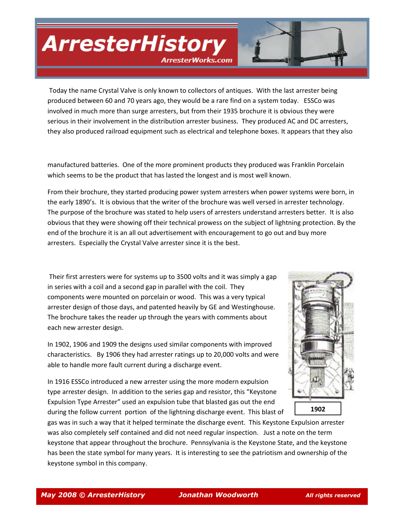ArresterWorks.com

Today the name Crystal Valve is only known to collectors of antiques. With the last arrester being produced between 60 and 70 years ago, they would be a rare find on a system today. ESSCo was involved in much more than surge arresters, but from their 1935 brochure it is obvious they were serious in their involvement in the distribution arrester business. They produced AC and DC arresters, they also produced railroad equipment such as electrical and telephone boxes. It appears that they also

manufactured batteries. One of the more prominent products they produced was Franklin Porcelain which seems to be the product that has lasted the longest and is most well known.

From their brochure, they started producing power system arresters when power systems were born, in the early 1890's. It is obvious that the writer of the brochure was well versed in arrester technology. The purpose of the brochure was stated to help users of arresters understand arresters better. It is also obvious that they were showing off their technical prowess on the subject of lightning protection. By the end of the brochure it is an all out advertisement with encouragement to go out and buy more arresters. Especially the Crystal Valve arrester since it is the best.

Their first arresters were for systems up to 3500 volts and it was simply a gap in series with a coil and a second gap in parallel with the coil. They components were mounted on porcelain or wood. This was a very typical arrester design of those days, and patented heavily by GE and Westinghouse. The brochure takes the reader up through the years with comments about each new arrester design.

In 1902, 1906 and 1909 the designs used similar components with improved characteristics. By 1906 they had arrester ratings up to 20,000 volts and were able to handle more fault current during a discharge event.

In 1916 ESSCo introduced a new arrester using the more modern expulsion type arrester design. In addition to the series gap and resistor, this "Keystone Expulsion Type Arrester" used an expulsion tube that blasted gas out the end during the follow current portion of the lightning discharge event. This blast of



**1902**

gas was in such a way that it helped terminate the discharge event. This Keystone Expulsion arrester was also completely self contained and did not need regular inspection. Just a note on the term keystone that appear throughout the brochure. Pennsylvania is the Keystone State, and the keystone has been the state symbol for many years. It is interesting to see the patriotism and ownership of the keystone symbol in this company.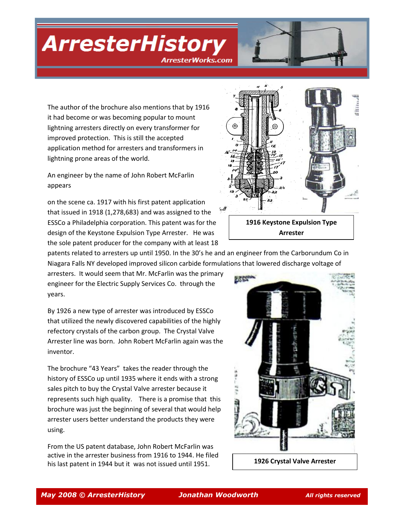ArresterWorks.com

The author of the brochure also mentions that by 1916 it had become or was becoming popular to mount lightning arresters directly on every transformer for improved protection. This is still the accepted application method for arresters and transformers in lightning prone areas of the world.

An engineer by the name of John Robert McFarlin appears

on the scene ca. 1917 with his first patent application that issued in 1918 (1,278,683) and was assigned to the ESSCo a Philadelphia corporation. This patent was for the design of the Keystone Expulsion Type Arrester. He was the sole patent producer for the company with at least 18



patents related to arresters up until 1950. In the 30's he and an engineer from the Carborundum Co in Niagara Falls NY developed improved silicon carbide formulations that lowered discharge voltage of

arresters. It would seem that Mr. McFarlin was the primary engineer for the Electric Supply Services Co. through the years.

By 1926 a new type of arrester was introduced by ESSCo that utilized the newly discovered capabilities of the highly refectory crystals of the carbon group. The Crystal Valve Arrester line was born. John Robert McFarlin again was the inventor.

The brochure "43 Years" takes the reader through the history of ESSCo up until 1935 where it ends with a strong sales pitch to buy the Crystal Valve arrester because it represents such high quality. There is a promise that this brochure was just the beginning of several that would help arrester users better understand the products they were using.

From the US patent database, John Robert McFarlin was active in the arrester business from 1916 to 1944. He filed his last patent in 1944 but it was not issued until 1951.